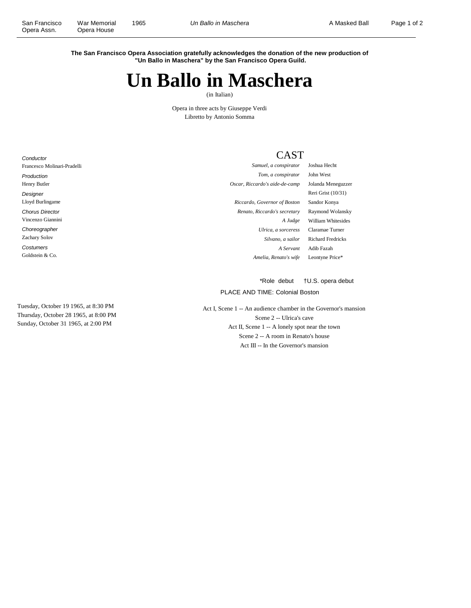**The San Francisco Opera Association gratefully acknowledges the donation of the new production of "Un Ballo in Maschera" by the San Francisco Opera Guild.**

## **Un Ballo in Maschera**

(in Italian)

Opera in three acts by Giuseppe Verdi Libretto by Antonio Somma

## CAST

| Francesco Molinari-Pradelli | Samuel, a conspirator          | Joshua Hecht             |
|-----------------------------|--------------------------------|--------------------------|
| Production                  | Tom, a conspirator             | John West                |
| Henry Butler                | Oscar, Riccardo's aide-de-camp | Jolanda Meneguzzer       |
| Designer                    |                                | Reri Grist (10/31)       |
| Lloyd Burlingame            | Riccardo, Governor of Boston   | Sandor Konya             |
| <b>Chorus Director</b>      | Renato, Riccardo's secretary   | Raymond Wolansky         |
| Vincenzo Giannini           | A Judge                        | William Whitesides       |
| Choreographer               | Ulrica, a sorceress            | Claramae Turner          |
| <b>Zachary Solov</b>        | Silvano, a sailor              | <b>Richard Fredricks</b> |
| Costumers                   | A Servant                      | Adib Fazah               |
| Goldstein & Co.             | Amelia, Renato's wife          | Leontyne Price*          |
|                             |                                |                          |

Tuesday, October 19 1965, at 8:30 PM Thursday, October 28 1965, at 8:00 PM Sunday, October 31 1965, at 2:00 PM

**Conductor** 

\*Role debut †U.S. opera debut

PLACE AND TIME: Colonial Boston

Act I, Scene 1 -- An audience chamber in the Governor's mansion Scene 2 -- Ulrica's cave Act II, Scene 1 -- A lonely spot near the town Scene 2 -- A room in Renato's house Act III -- In the Governor's mansion